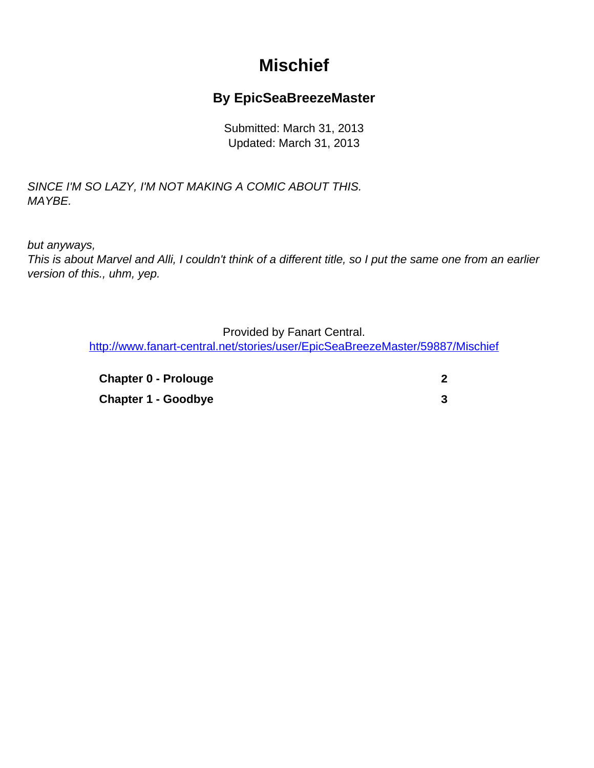## **Mischief**

## **By EpicSeaBreezeMaster**

Submitted: March 31, 2013 Updated: March 31, 2013

<span id="page-0-0"></span>SINCE I'M SO LAZY, I'M NOT MAKING A COMIC ABOUT THIS. MAYBE.

but anyways,

This is about Marvel and Alli, I couldn't think of a different title, so I put the same one from an earlier version of this., uhm, yep.

Provided by Fanart Central.

[http://www.fanart-central.net/stories/user/EpicSeaBreezeMaster/59887/Mischief](#page-0-0)

**[Chapter 0 - Prolouge](#page-1-0) [2](#page-1-0) [Chapter 1 - Goodbye](#page-2-0) [3](#page-2-0)**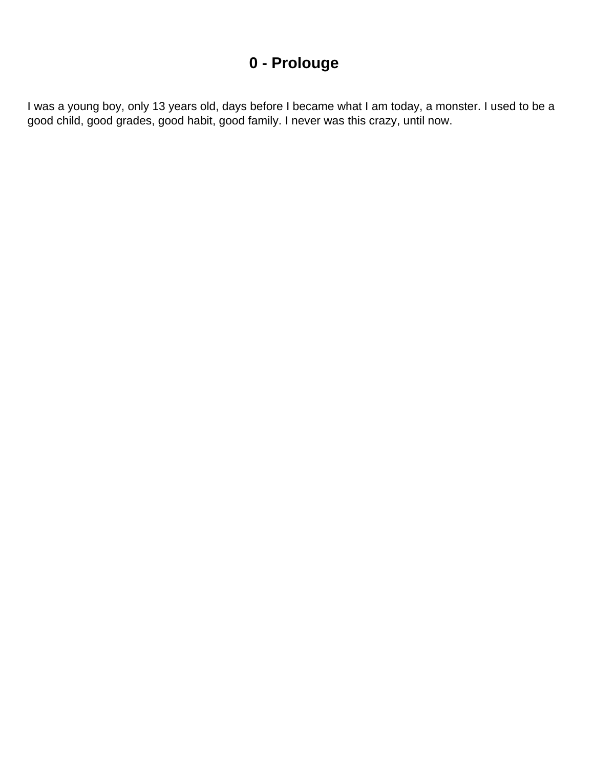## **0 - Prolouge**

<span id="page-1-0"></span>I was a young boy, only 13 years old, days before I became what I am today, a monster. I used to be a good child, good grades, good habit, good family. I never was this crazy, until now.